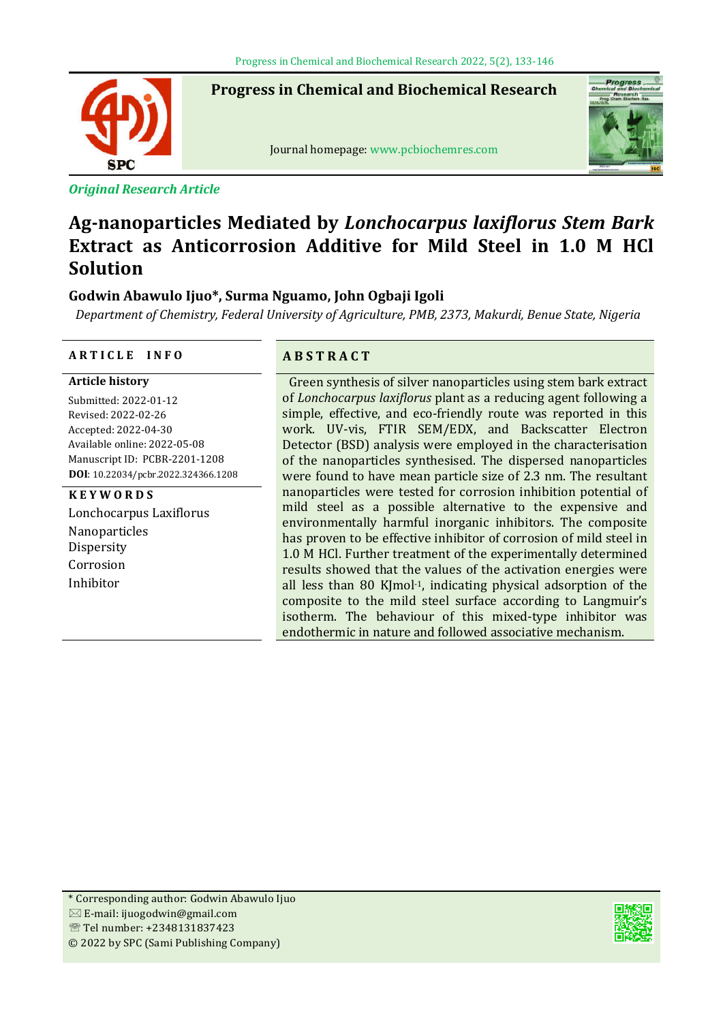**Progress in Chemical and Biochemical Research**



ֺ֞֡

*Original Research Article*

Journal homepage: www.pcbiochemres.com



# **Ag-nanoparticles Mediated by** *Lonchocarpus laxiflorus Stem Bark*  **Extract as Anticorrosion Additive for Mild Steel in 1.0 M HCl Solution**

## **Godwin Abawulo Ijuo\*, Surma Nguamo, John Ogbaji Igoli**

*Department of Chemistry, Federal University of Agriculture, PMB, 2373, Makurdi, Benue State, Nigeria*

## **A R T I C L E I N F O A B S T R A C T**

**Article history**

Submitted: 2022-01-12 Revised: 2022-02-26 Accepted: 2022-04-30 Available online: 2022-05-08 Manuscript ID: PCBR-2201-1208 **DOI**: 10.22034/pcbr.2022.324366.1208

## **K E Y W O R D S**

Lonchocarpus Laxiflorus Nanoparticles Dispersity Corrosion Inhibitor

Green synthesis of silver nanoparticles using stem bark extract of *Lonchocarpus laxiflorus* plant as a reducing agent following a simple, effective, and eco-friendly route was reported in this work. UV-vis, FTIR SEM/EDX, and Backscatter Electron Detector (BSD) analysis were employed in the characterisation of the nanoparticles synthesised. The dispersed nanoparticles were found to have mean particle size of 2.3 nm. The resultant nanoparticles were tested for corrosion inhibition potential of mild steel as a possible alternative to the expensive and environmentally harmful inorganic inhibitors. The composite has proven to be effective inhibitor of corrosion of mild steel in 1.0 M HCl. Further treatment of the experimentally determined results showed that the values of the activation energies were all less than 80 KJmol-1, indicating physical adsorption of the composite to the mild steel surface according to Langmuir's isotherm. The behaviour of this mixed-type inhibitor was endothermic in nature and followed associative mechanism.

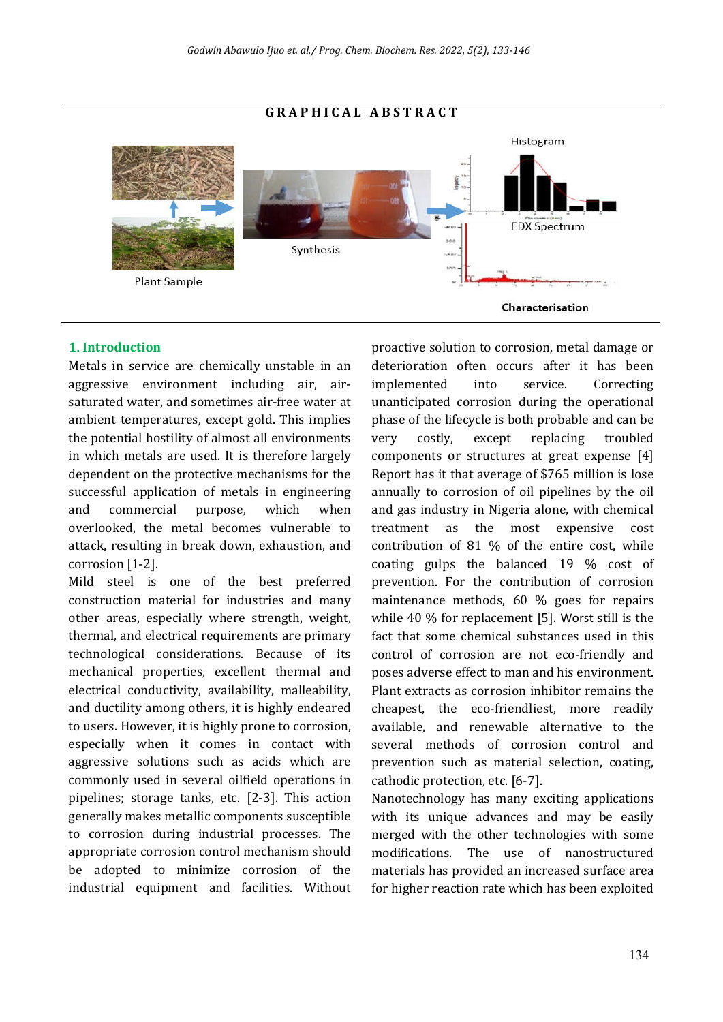### **G R A P H I C A L A B S T R A C T**



## **1. Introduction**

Metals in service are chemically unstable in an aggressive environment including air, airsaturated water, and sometimes air-free water at ambient temperatures, except gold. This implies the potential hostility of almost all environments in which metals are used. It is therefore largely dependent on the protective mechanisms for the successful application of metals in engineering and commercial purpose, which when overlooked, the metal becomes vulnerable to attack, resulting in break down, exhaustion, and corrosion [1-2].

Mild steel is one of the best preferred construction material for industries and many other areas, especially where strength, weight, thermal, and electrical requirements are primary technological considerations. Because of its mechanical properties, excellent thermal and electrical conductivity, availability, malleability, and ductility among others, it is highly endeared to users. However, it is highly prone to corrosion, especially when it comes in contact with aggressive solutions such as acids which are commonly used in several oilfield operations in pipelines; storage tanks, etc. [2-3]. This action generally makes metallic components susceptible to corrosion during industrial processes. The appropriate corrosion control mechanism should be adopted to minimize corrosion of the industrial equipment and facilities. Without proactive solution to corrosion, metal damage or deterioration often occurs after it has been implemented into service. Correcting unanticipated corrosion during the operational phase of the lifecycle is both probable and can be very costly, except replacing troubled components or structures at great expense [4] Report has it that average of \$765 million is lose annually to corrosion of oil pipelines by the oil and gas industry in Nigeria alone, with chemical treatment as the most expensive cost contribution of 81 % of the entire cost, while coating gulps the balanced 19 % cost of prevention. For the contribution of corrosion maintenance methods, 60 % goes for repairs while 40 % for replacement [5]. Worst still is the fact that some chemical substances used in this control of corrosion are not eco-friendly and poses adverse effect to man and his environment. Plant extracts as corrosion inhibitor remains the cheapest, the eco-friendliest, more readily available, and renewable alternative to the several methods of corrosion control and prevention such as material selection, coating, cathodic protection, etc. [6-7].

Nanotechnology has many exciting applications with its unique advances and may be easily merged with the other technologies with some modifications. The use of nanostructured materials has provided an increased surface area for higher reaction rate which has been exploited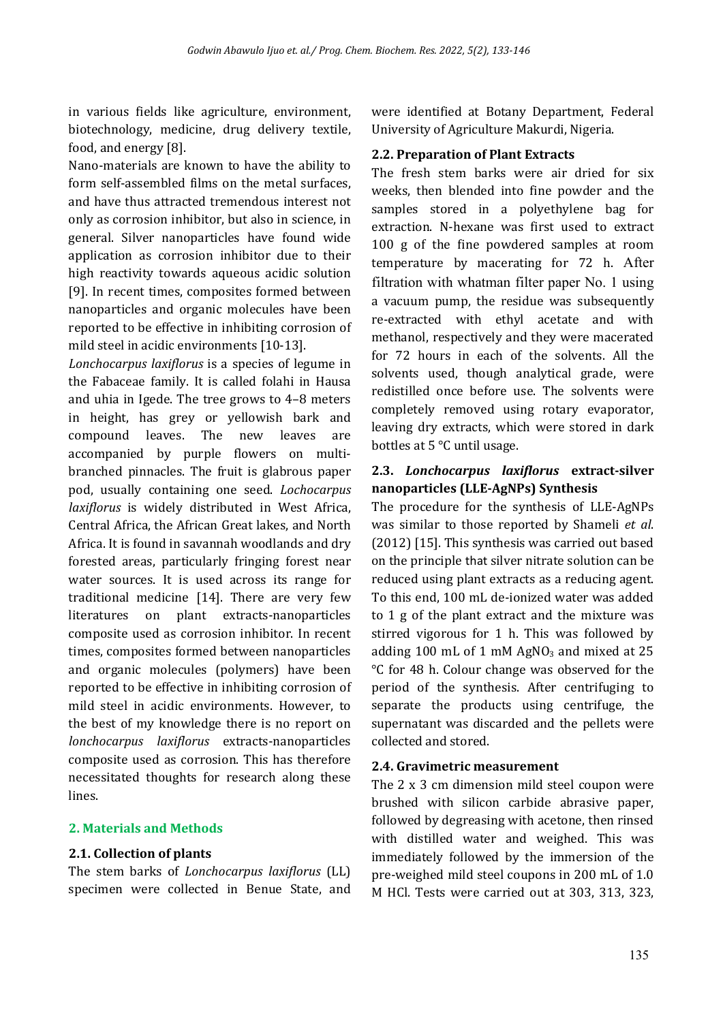in various fields like agriculture, environment, biotechnology, medicine, drug delivery textile, food, and energy [8].

Nano-materials are known to have the ability to form self-assembled films on the metal surfaces, and have thus attracted tremendous interest not only as corrosion inhibitor, but also in science, in general. Silver nanoparticles have found wide application as corrosion inhibitor due to their high reactivity towards aqueous acidic solution [9]. In recent times, composites formed between nanoparticles and organic molecules have been reported to be effective in inhibiting corrosion of mild steel in acidic environments [10-13].

*Lonchocarpus laxiflorus* is a species of legume in the Fabaceae family. It is called folahi in Hausa and uhia in Igede. The tree grows to 4–8 meters in height, has grey or yellowish bark and compound leaves. The new leaves are accompanied by purple flowers on multibranched pinnacles. The fruit is glabrous paper pod, usually containing one seed. *Lochocarpus laxiflorus* is widely distributed in West Africa, Central Africa, the African Great lakes, and North Africa. It is found in savannah woodlands and dry forested areas, particularly fringing forest near water sources. It is used across its range for traditional medicine [14]. There are very few literatures on plant extracts-nanoparticles composite used as corrosion inhibitor. In recent times, composites formed between nanoparticles and organic molecules (polymers) have been reported to be effective in inhibiting corrosion of mild steel in acidic environments. However, to the best of my knowledge there is no report on *lonchocarpus laxiflorus* extracts-nanoparticles composite used as corrosion. This has therefore necessitated thoughts for research along these lines.

## **2. Materials and Methods**

## **2.1. Collection of plants**

The stem barks of *Lonchocarpus laxiflorus* (LL) specimen were collected in Benue State, and were identified at Botany Department, Federal University of Agriculture Makurdi, Nigeria.

## **2.2. Preparation of Plant Extracts**

The fresh stem barks were air dried for six weeks, then blended into fine powder and the samples stored in a polyethylene bag for extraction. N-hexane was first used to extract 100 g of the ine powdered samples at room temperature by macerating for 72 h. After filtration with whatman filter paper No. 1 using a vacuum pump, the residue was subsequently re-extracted with ethyl acetate and with methanol, respectively and they were macerated for 72 hours in each of the solvents. All the solvents used, though analytical grade, were redistilled once before use. The solvents were completely removed using rotary evaporator, leaving dry extracts, which were stored in dark bottles at 5 °C until usage.

## **2.3.** *Lonchocarpus laxiflorus* **extract-silver nanoparticles (LLE-AgNPs) Synthesis**

The procedure for the synthesis of LLE-AgNPs was similar to those reported by Shameli *et al*. (2012) [15]. This synthesis was carried out based on the principle that silver nitrate solution can be reduced using plant extracts as a reducing agent. To this end, 100 mL de-ionized water was added to 1 g of the plant extract and the mixture was stirred vigorous for 1 h. This was followed by adding 100 mL of 1 mM  $AgNO<sub>3</sub>$  and mixed at 25 °C for 48 h. Colour change was observed for the period of the synthesis. After centrifuging to separate the products using centrifuge, the supernatant was discarded and the pellets were collected and stored.

## **2.4. Gravimetric measurement**

The 2 x 3 cm dimension mild steel coupon were brushed with silicon carbide abrasive paper, followed by degreasing with acetone, then rinsed with distilled water and weighed. This was immediately followed by the immersion of the pre-weighed mild steel coupons in 200 mL of 1.0 M HCl. Tests were carried out at 303, 313, 323,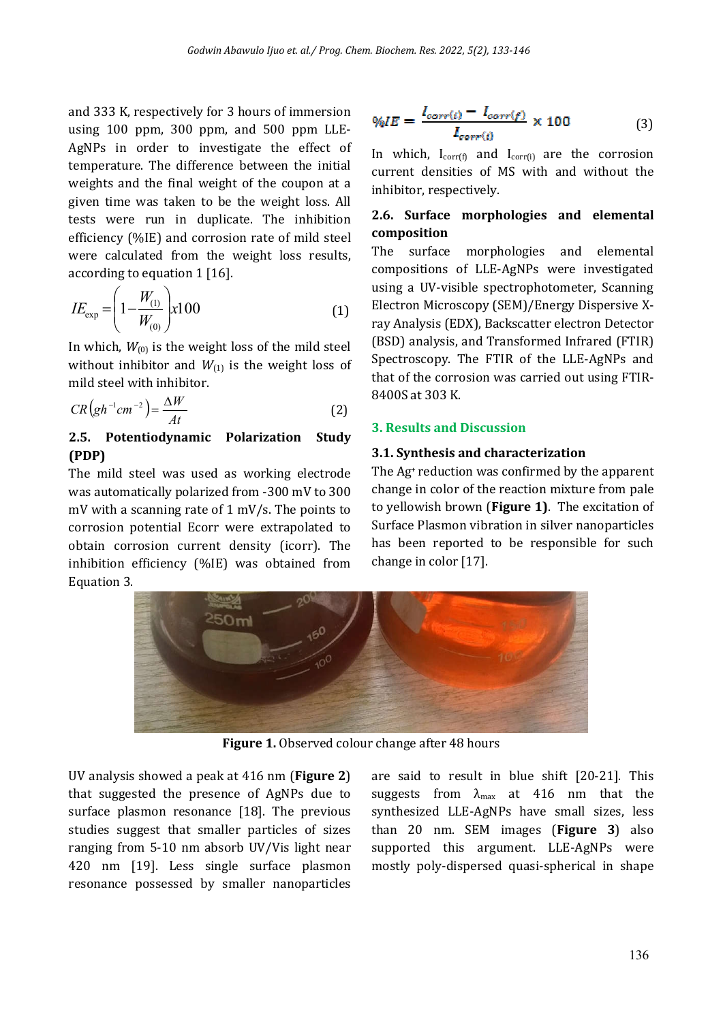and 333 K, respectively for 3 hours of immersion using 100 ppm, 300 ppm, and 500 ppm LLE-AgNPs in order to investigate the effect of temperature. The difference between the initial weights and the final weight of the coupon at a given time was taken to be the weight loss. All tests were run in duplicate. The inhibition efficiency (%IE) and corrosion rate of mild steel were calculated from the weight loss results, according to equation 1 [16].

$$
IE_{\exp} = \left(1 - \frac{W_{(1)}}{W_{(0)}}\right) x 100\tag{1}
$$

In which,  $W_{(0)}$  is the weight loss of the mild steel without inhibitor and  $W_{(1)}$  is the weight loss of mild steel with inhibitor.

$$
CR\left(gh^{-1}cm^{-2}\right) = \frac{\Delta W}{At}
$$
 (2)

## **2.5. Potentiodynamic Polarization Study (PDP)**

The mild steel was used as working electrode was automatically polarized from -300 mV to 300 mV with a scanning rate of 1 mV/s. The points to corrosion potential Ecorr were extrapolated to obtain corrosion current density (icorr). The inhibition efficiency (%IE) was obtained from Equation 3.

$$
\%IE = \frac{I_{corr(i)} - I_{corr(f)}}{I_{corr(i)}} \times 100 \tag{3}
$$

In which,  $I_{corr(f)}$  and  $I_{corr(f)}$  are the corrosion current densities of MS with and without the inhibitor, respectively.

## **2.6. Surface morphologies and elemental composition**

The surface morphologies and elemental compositions of LLE-AgNPs were investigated using a UV-visible spectrophotometer, Scanning Electron Microscopy (SEM)/Energy Dispersive Xray Analysis (EDX), Backscatter electron Detector (BSD) analysis, and Transformed Infrared (FTIR) Spectroscopy. The FTIR of the LLE-AgNPs and that of the corrosion was carried out using FTIR-8400S at 303 K.

## **3. Results and Discussion**

## **3.1. Synthesis and characterization**

The Ag+ reduction was confirmed by the apparent change in color of the reaction mixture from pale to yellowish brown (**Figure 1)**. The excitation of Surface Plasmon vibration in silver nanoparticles has been reported to be responsible for such change in color [17].



**Figure 1.** Observed colour change after 48 hours

UV analysis showed a peak at 416 nm (**Figure 2**) that suggested the presence of AgNPs due to surface plasmon resonance [18]. The previous studies suggest that smaller particles of sizes ranging from 5-10 nm absorb UV/Vis light near 420 nm [19]. Less single surface plasmon resonance possessed by smaller nanoparticles

are said to result in blue shift [20-21]. This suggests from  $\lambda_{\text{max}}$  at 416 nm that the synthesized LLE-AgNPs have small sizes, less than 20 nm. SEM images (**Figure 3**) also supported this argument. LLE-AgNPs were mostly poly-dispersed quasi-spherical in shape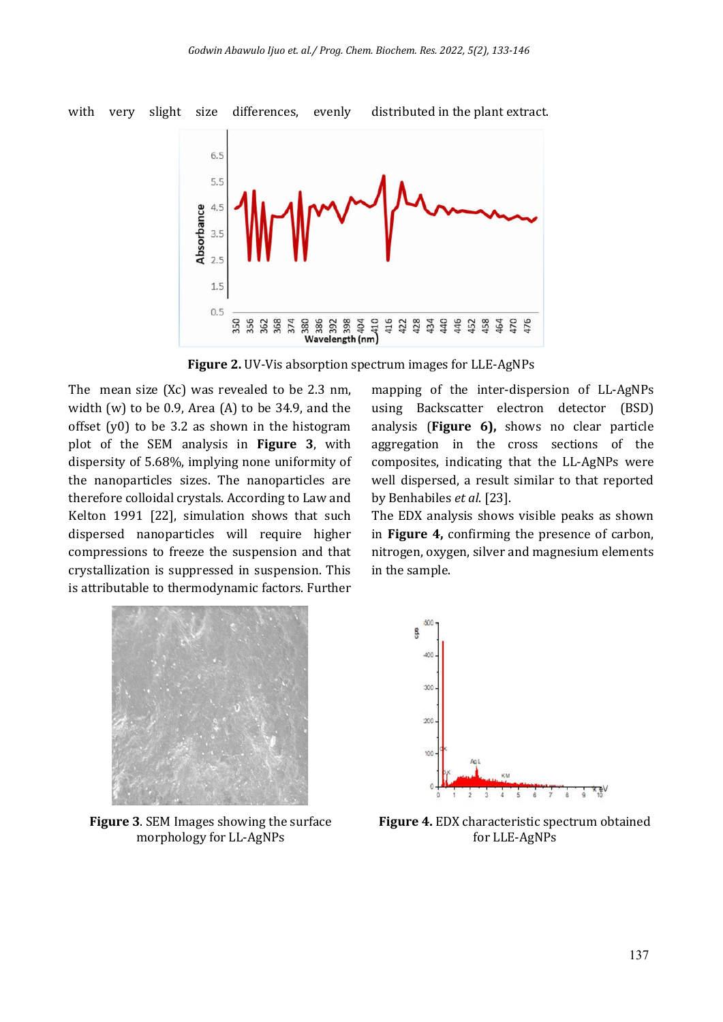

**Figure 2.** UV-Vis absorption spectrum images for LLE-AgNPs

The mean size (Xc) was revealed to be 2.3 nm, width (w) to be 0.9, Area (A) to be 34.9, and the offset (y0) to be 3.2 as shown in the histogram plot of the SEM analysis in **Figure 3**, with dispersity of 5.68%, implying none uniformity of the nanoparticles sizes. The nanoparticles are therefore colloidal crystals. According to Law and Kelton 1991 [22], simulation shows that such dispersed nanoparticles will require higher compressions to freeze the suspension and that crystallization is suppressed in suspension. This is attributable to thermodynamic factors. Further mapping of the inter-dispersion of LL-AgNPs using Backscatter electron detector (BSD) analysis (**Figure 6),** shows no clear particle aggregation in the cross sections of the composites, indicating that the LL-AgNPs were well dispersed, a result similar to that reported by Benhabiles *et al*. [23].

The EDX analysis shows visible peaks as shown in **Figure 4,** confirming the presence of carbon, nitrogen, oxygen, silver and magnesium elements in the sample.



**Figure 3**. SEM Images showing the surface morphology for LL-AgNPs



**Figure 4.** EDX characteristic spectrum obtained for LLE-AgNPs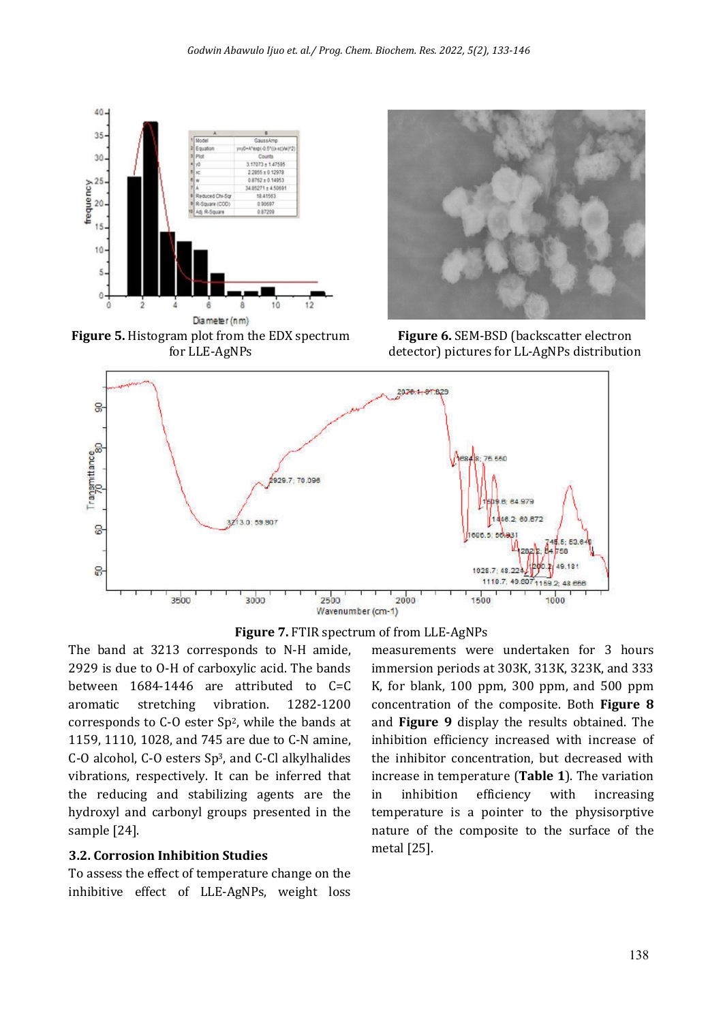

**Figure 5.** Histogram plot from the EDX spectrum for LLE-AgNPs



**Figure 6.** SEM-BSD (backscatter electron detector) pictures for LL-AgNPs distribution





The band at 3213 corresponds to N-H amide, 2929 is due to O-H of carboxylic acid. The bands between 1684-1446 are attributed to C=C aromatic stretching vibration. 1282-1200 corresponds to C-O ester Sp2, while the bands at 1159, 1110, 1028, and 745 are due to C-N amine, C-O alcohol, C-O esters Sp3, and C-Cl alkylhalides vibrations, respectively. It can be inferred that the reducing and stabilizing agents are the hydroxyl and carbonyl groups presented in the sample [24].

#### **3.2. Corrosion Inhibition Studies**

To assess the effect of temperature change on the inhibitive effect of LLE-AgNPs, weight loss

measurements were undertaken for 3 hours immersion periods at 303K, 313K, 323K, and 333 K, for blank, 100 ppm, 300 ppm, and 500 ppm concentration of the composite. Both **Figure 8** and **Figure 9** display the results obtained. The inhibition efficiency increased with increase of the inhibitor concentration, but decreased with increase in temperature (**Table 1**). The variation in inhibition efficiency with increasing temperature is a pointer to the physisorptive nature of the composite to the surface of the metal [25].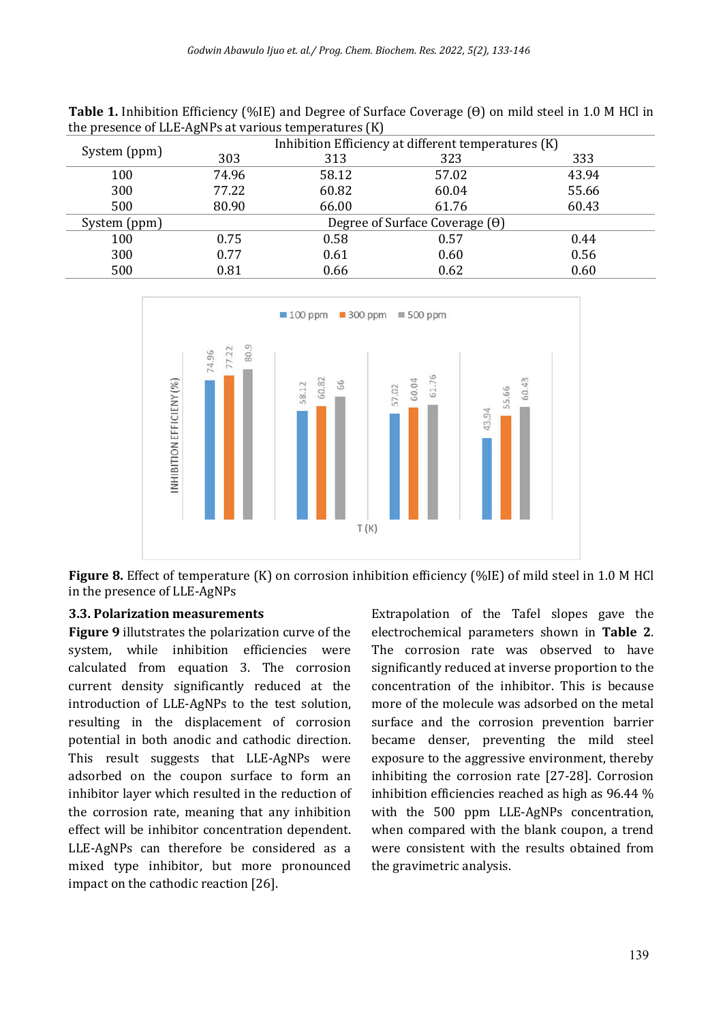| <b>Table 1.</b> Inhibition Efficiency (%IE) and Degree of Surface Coverage ( $\Theta$ ) on mild steel in 1.0 M HCl in |  |
|-----------------------------------------------------------------------------------------------------------------------|--|
| the presence of LLE-AgNPs at various temperatures (K)                                                                 |  |

|              | $\cdot$                               |       |                                                     |       |
|--------------|---------------------------------------|-------|-----------------------------------------------------|-------|
|              |                                       |       | Inhibition Efficiency at different temperatures (K) |       |
| System (ppm) | 303                                   | 313   | 323                                                 | 333   |
| 100          | 74.96                                 | 58.12 | 57.02                                               | 43.94 |
| 300          | 77.22                                 | 60.82 | 60.04                                               | 55.66 |
| 500          | 80.90                                 | 66.00 | 61.76                                               | 60.43 |
| System (ppm) | Degree of Surface Coverage $(\theta)$ |       |                                                     |       |
| 100          | 0.75                                  | 0.58  | 0.57                                                | 0.44  |
| 300          | 0.77                                  | 0.61  | 0.60                                                | 0.56  |
| 500          | 0.81                                  | 0.66  | 0.62                                                | 0.60  |
|              |                                       |       |                                                     |       |



**Figure 8.** Effect of temperature (K) on corrosion inhibition eficiency (%IE) of mild steel in 1.0 M HCl in the presence of LLE-AgNPs

### **3.3. Polarization measurements**

**Figure 9** illutstrates the polarization curve of the system, while inhibition efficiencies were calculated from equation 3. The corrosion current density significantly reduced at the introduction of LLE-AgNPs to the test solution, resulting in the displacement of corrosion potential in both anodic and cathodic direction. This result suggests that LLE-AgNPs were adsorbed on the coupon surface to form an inhibitor layer which resulted in the reduction of the corrosion rate, meaning that any inhibition effect will be inhibitor concentration dependent. LLE-AgNPs can therefore be considered as a mixed type inhibitor, but more pronounced impact on the cathodic reaction [26].

Extrapolation of the Tafel slopes gave the electrochemical parameters shown in **Table 2**. The corrosion rate was observed to have significantly reduced at inverse proportion to the concentration of the inhibitor. This is because more of the molecule was adsorbed on the metal surface and the corrosion prevention barrier became denser, preventing the mild steel exposure to the aggressive environment, thereby inhibiting the corrosion rate [27-28]. Corrosion inhibition efficiencies reached as high as 96.44 % with the 500 ppm LLE-AgNPs concentration, when compared with the blank coupon, a trend were consistent with the results obtained from the gravimetric analysis.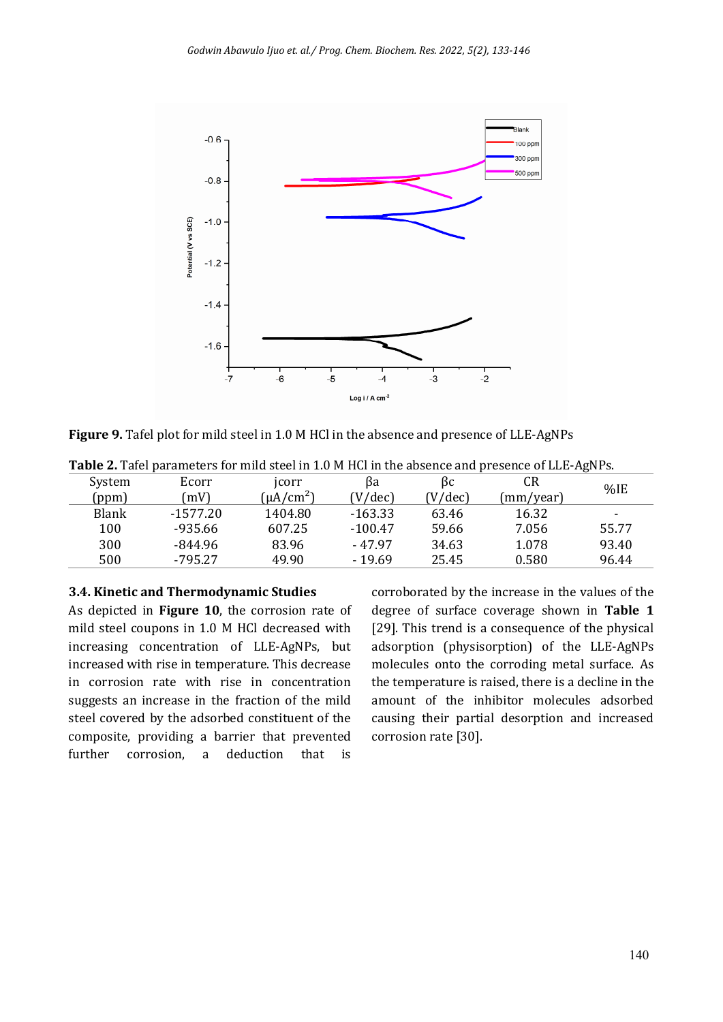

**Figure 9.** Tafel plot for mild steel in 1.0 M HCl in the absence and presence of LLE-AgNPs

| Table 2. Tafel parameters for mild steel in 1.0 M HCl in the absence and presence of LLE-AgNPs. |            |                |           |                  |           |                          |
|-------------------------------------------------------------------------------------------------|------------|----------------|-----------|------------------|-----------|--------------------------|
| System                                                                                          | Ecorr      | jcorr          | Bа        | ßс               | CR        | %IE                      |
| (ppm)                                                                                           | (mV)       | $(\mu A/cm^2)$ | V/dec     | $(V/\text{dec})$ | (mm/year) |                          |
| Blank                                                                                           | $-1577.20$ | 1404.80        | $-163.33$ | 63.46            | 16.32     | $\overline{\phantom{a}}$ |
| 100                                                                                             | $-935.66$  | 607.25         | $-100.47$ | 59.66            | 7.056     | 55.77                    |
| 300                                                                                             | $-844.96$  | 83.96          | $-47.97$  | 34.63            | 1.078     | 93.40                    |
| 500                                                                                             | $-795.27$  | 49.90          | $-19.69$  | 25.45            | 0.580     | 96.44                    |

#### **3.4. Kinetic and Thermodynamic Studies**

As depicted in **Figure 10**, the corrosion rate of mild steel coupons in 1.0 M HCl decreased with increasing concentration of LLE-AgNPs, but increased with rise in temperature. This decrease in corrosion rate with rise in concentration suggests an increase in the fraction of the mild steel covered by the adsorbed constituent of the composite, providing a barrier that prevented further corrosion, a deduction that is corroborated by the increase in the values of the degree of surface coverage shown in **Table 1** [29]. This trend is a consequence of the physical adsorption (physisorption) of the LLE-AgNPs molecules onto the corroding metal surface. As the temperature is raised, there is a decline in the amount of the inhibitor molecules adsorbed causing their partial desorption and increased corrosion rate [30].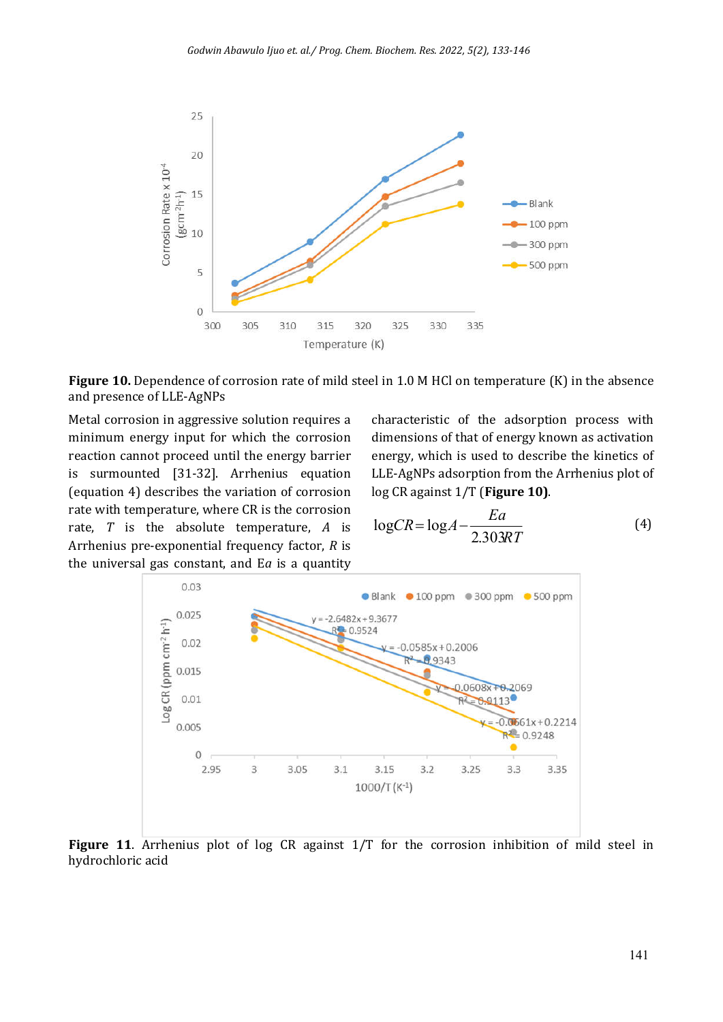

**Figure 10.** Dependence of corrosion rate of mild steel in 1.0 M HCl on temperature (K) in the absence and presence of LLE-AgNPs

Metal corrosion in aggressive solution requires a minimum energy input for which the corrosion reaction cannot proceed until the energy barrier is surmounted [31-32]. Arrhenius equation (equation 4) describes the variation of corrosion rate with temperature, where CR is the corrosion rate, *T* is the absolute temperature, *A* is Arrhenius pre-exponential frequency factor, *R* is the universal gas constant, and E*a* is a quantity

characteristic of the adsorption process with dimensions of that of energy known as activation energy, which is used to describe the kinetics of LLE-AgNPs adsorption from the Arrhenius plot of log CR against 1/T (**Figure 10)**.

$$
\log CR = \log A - \frac{Ea}{2.303RT} \tag{4}
$$



Figure 11. Arrhenius plot of log CR against  $1/T$  for the corrosion inhibition of mild steel in hydrochloric acid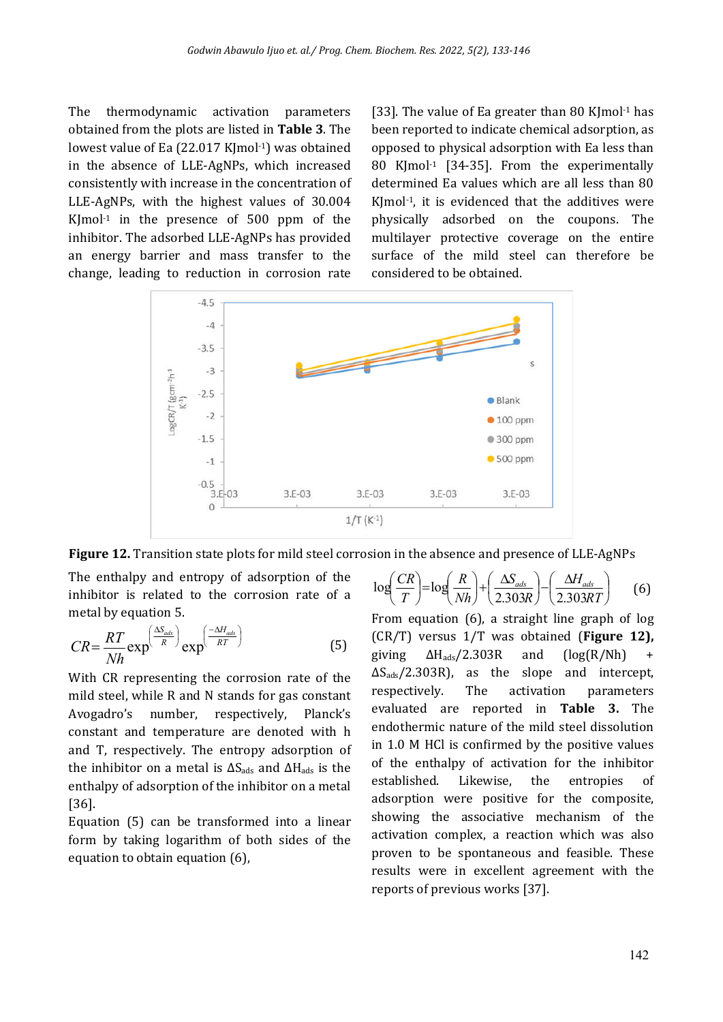The thermodynamic activation parameters obtained from the plots are listed in **Table 3**. The lowest value of Ea (22.017 KJmol<sup>-1</sup>) was obtained in the absence of LLE-AgNPs, which increased consistently with increase in the concentration of LLE-AgNPs, with the highest values of 30.004  $K$ Imol<sup>-1</sup> in the presence of 500 ppm of the inhibitor. The adsorbed LLE-AgNPs has provided an energy barrier and mass transfer to the change, leading to reduction in corrosion rate

[33]. The value of Ea greater than 80 KJmol<sup>-1</sup> has been reported to indicate chemical adsorption, as opposed to physical adsorption with Ea less than 80 KJmol<sup>-1</sup> [34-35]. From the experimentally determined Ea values which are all less than 80 KJmol-1, it is evidenced that the additives were physically adsorbed on the coupons. The multilayer protective coverage on the entire surface of the mild steel can therefore be considered to be obtained.





The enthalpy and entropy of adsorption of the inhibitor is related to the corrosion rate of a metal by equation 5.

$$
CR = \frac{RT}{Nh} \exp^{\left(\frac{\Delta S_{ads}}{R}\right)} \exp^{\left(\frac{-\Delta H_{ads}}{RT}\right)} \tag{5}
$$

With CR representing the corrosion rate of the mild steel, while R and N stands for gas constant Avogadro's number, respectively, Planck's constant and temperature are denoted with h and T, respectively. The entropy adsorption of the inhibitor on a metal is  $ΔS<sub>ads</sub>$  and  $ΔH<sub>ads</sub>$  is the enthalpy of adsorption of the inhibitor on a metal [36].

Equation (5) can be transformed into a linear form by taking logarithm of both sides of the equation to obtain equation (6),

$$
\log\left(\frac{CR}{T}\right) = \log\left(\frac{R}{Nh}\right) + \left(\frac{\Delta S_{ads}}{2.303R}\right) - \left(\frac{\Delta H_{ads}}{2.303RT}\right) \tag{6}
$$

From equation (6), a straight line graph of log (CR/T) versus 1/T was obtained (**Figure 12),** giving  $\Delta H_{ads}/2.303R$  and  $(log(R/Nh)$  $\Delta S_{\text{ads}}/2.303R$ , as the slope and intercept, respectively. The activation parameters evaluated are reported in **Table 3.** The endothermic nature of the mild steel dissolution in 1.0 M HCl is confirmed by the positive values of the enthalpy of activation for the inhibitor established. Likewise, the entropies of adsorption were positive for the composite, showing the associative mechanism of the activation complex, a reaction which was also proven to be spontaneous and feasible. These results were in excellent agreement with the reports of previous works [37].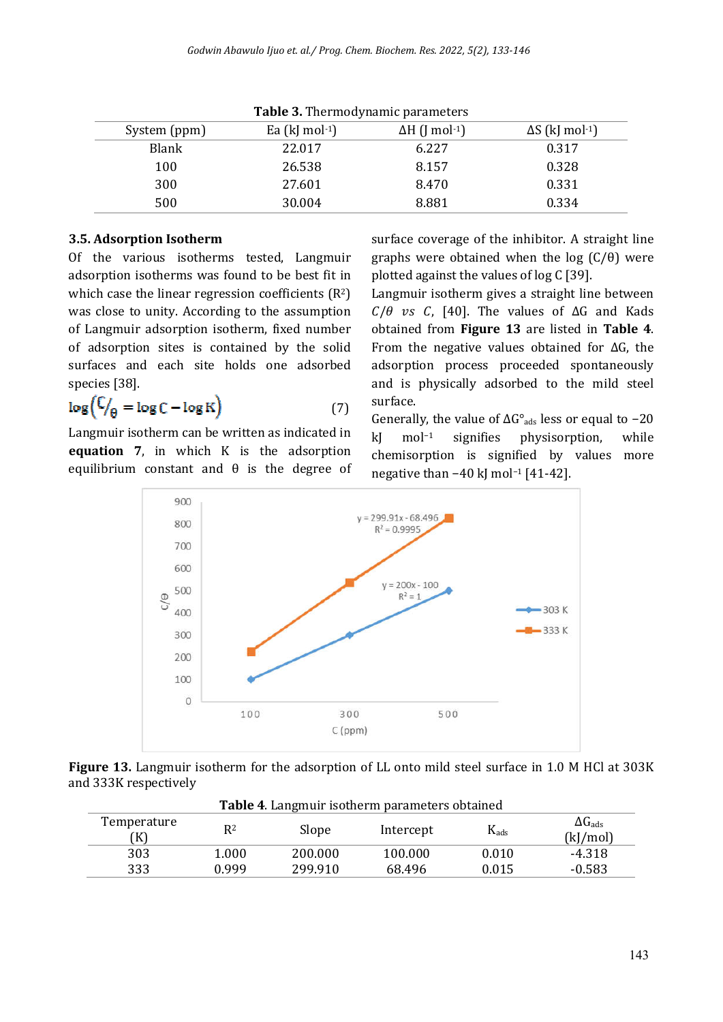| <b>rapic 3.</b> Thermodynamic parameters |                   |                                   |                                    |  |
|------------------------------------------|-------------------|-----------------------------------|------------------------------------|--|
| System (ppm)                             | Ea (kJ mol $-1$ ) | $\Delta H$ (J mol <sup>-1</sup> ) | $\Delta S$ (kJ mol <sup>-1</sup> ) |  |
| Blank                                    | 22.017            | 6.227                             | 0.317                              |  |
| 100                                      | 26.538            | 8.157                             | 0.328                              |  |
| 300                                      | 27.601            | 8.470                             | 0.331                              |  |
| 500                                      | 30.004            | 8.881                             | 0.334                              |  |

**Table 3.** Thermodynamic parameters

## **3.5. Adsorption Isotherm**

Of the various isotherms tested, Langmuir adsorption isotherms was found to be best fit in which case the linear regression coefficients (R<sup>2</sup>) was close to unity. According to the assumption of Langmuir adsorption isotherm, fixed number of adsorption sites is contained by the solid surfaces and each site holds one adsorbed species [38].

$$
\log\left(\frac{C}{\theta} = \log C - \log K\right) \tag{7}
$$

Langmuir isotherm can be written as indicated in **equation 7**, in which K is the adsorption equilibrium constant and  $\theta$  is the degree of surface coverage of the inhibitor. A straight line graphs were obtained when the log  $(C/\theta)$  were plotted against the values of log C [39].

Langmuir isotherm gives a straight line between  $C/\theta$  vs C, [40]. The values of  $\Delta G$  and Kads obtained from **Figure 13** are listed in **Table 4**. From the negative values obtained for  $\Delta G$ , the adsorption process proceeded spontaneously and is physically adsorbed to the mild steel surface.

Generally, the value of  $\Delta G^{\circ}_{ads}$  less or equal to -20 kJ mol−1 signifies physisorption, while chemisorption is signified by values more negative than −40 kJ mol<sup>-1</sup> [41-42].



**Figure 13.** Langmuir isotherm for the adsorption of LL onto mild steel surface in 1.0 M HCl at 303K and 333K respectively

| Table 4. Langmuir isotherm parameters obtained |       |         |           |           |                                  |
|------------------------------------------------|-------|---------|-----------|-----------|----------------------------------|
| Temperature<br>'K)                             | R2    | Slope   | Intercept | $K_{ads}$ | $\Delta G_{\rm ads}$<br>(k]/mol) |
| 303                                            | 1.000 | 200.000 | 100.000   | 0.010     | $-4.318$                         |
| 333                                            | 0.999 | 299.910 | 68.496    | 0.015     | $-0.583$                         |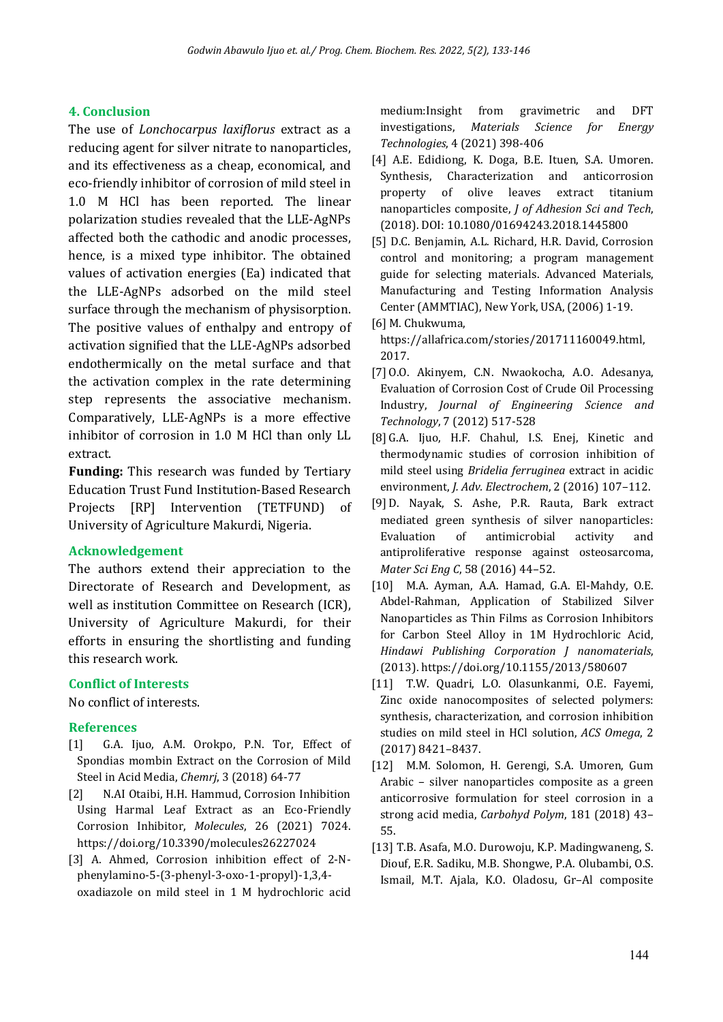#### **4. Conclusion**

The use of *Lonchocarpus laxiflorus* extract as a reducing agent for silver nitrate to nanoparticles, and its effectiveness as a cheap, economical, and eco-friendly inhibitor of corrosion of mild steel in 1.0 M HCl has been reported. The linear polarization studies revealed that the LLE-AgNPs affected both the cathodic and anodic processes, hence, is a mixed type inhibitor. The obtained values of activation energies (Ea) indicated that the LLE-AgNPs adsorbed on the mild steel surface through the mechanism of physisorption. The positive values of enthalpy and entropy of activation signified that the LLE-AgNPs adsorbed endothermically on the metal surface and that the activation complex in the rate determining step represents the associative mechanism. Comparatively, LLE-AgNPs is a more effective inhibitor of corrosion in 1.0 M HCl than only LL extract.

**Funding:** This research was funded by Tertiary Education Trust Fund Institution-Based Research Projects [RP] Intervention (TETFUND) of University of Agriculture Makurdi, Nigeria.

#### **Acknowledgement**

The authors extend their appreciation to the Directorate of Research and Development, as well as institution Committee on Research (ICR), University of Agriculture Makurdi, for their efforts in ensuring the shortlisting and funding this research work.

#### **Conflict of Interests**

No conflict of interests.

#### **References**

- [1] G.A. Ijuo, A.M. Orokpo, P.N. Tor, Effect of Spondias mombin Extract on the Corrosion of Mild Steel in Acid Media, *Chemrj*, 3 (2018) 64-77
- [2] N.AI Otaibi, H.H. Hammud, Corrosion Inhibition Using Harmal Leaf Extract as an Eco-Friendly Corrosion Inhibitor, *Molecules*, 26 (2021) 7024. https://doi.org/10.3390/molecules26227024
- [3] A. Ahmed, Corrosion inhibition effect of 2-Nphenylamino-5-(3-phenyl-3-oxo-1-propyl)-1,3,4 oxadiazole on mild steel in 1 M hydrochloric acid

medium:Insight from gravimetric and DFT investigations, *Materials Science for Energy Technologies*, 4 (2021) 398-406

- [4] A.E. Edidiong, K. Doga, B.E. Ituen, S.A. Umoren. Synthesis, Characterization and anticorrosion property of olive leaves extract titanium nanoparticles composite, *J of Adhesion Sci and Tech*, (2018). DOI: 10.1080/01694243.2018.1445800
- [5] D.C. Benjamin, A.L. Richard, H.R. David, Corrosion control and monitoring; a program management guide for selecting materials. Advanced Materials, Manufacturing and Testing Information Analysis Center (AMMTIAC), New York, USA, (2006) 1-19.
- [6] M. Chukwuma, https://allafrica.com/stories/201711160049.html, 2017.
- [7] O.O. Akinyem, C.N. Nwaokocha, A.O. Adesanya, Evaluation of Corrosion Cost of Crude Oil Processing Industry, *Journal of Engineering Science and Technology*, 7 (2012) 517-528
- [8] G.A. Ijuo, H.F. Chahul, I.S. Enej, Kinetic and thermodynamic studies of corrosion inhibition of mild steel using *Bridelia ferruginea* extract in acidic environment, *J. Adv. Electrochem*, 2 (2016) 107–112.
- [9] D. Nayak, S. Ashe, P.R. Rauta, Bark extract mediated green synthesis of silver nanoparticles: Evaluation of antimicrobial activity and antiproliferative response against osteosarcoma, *Mater Sci Eng C*, 58 (2016) 44–52.
- [10] M.A. Ayman, A.A. Hamad, G.A. El-Mahdy, O.E. Abdel-Rahman, Application of Stabilized Silver Nanoparticles as Thin Films as Corrosion Inhibitors for Carbon Steel Alloy in 1M Hydrochloric Acid, *Hindawi Publishing Corporation J nanomaterials*, (2013). https://doi.org/10.1155/2013/580607
- [11] T.W. Quadri, L.O. Olasunkanmi, O.E. Fayemi, Zinc oxide nanocomposites of selected polymers: synthesis, characterization, and corrosion inhibition studies on mild steel in HCl solution, *ACS Omega*, 2 (2017) 8421–8437.
- [12] M.M. Solomon, H. Gerengi, S.A. Umoren, Gum Arabic – silver nanoparticles composite as a green anticorrosive formulation for steel corrosion in a strong acid media, *Carbohyd Polym*, 181 (2018) 43– 55.
- [13] T.B. Asafa, M.O. Durowoju, K.P. Madingwaneng, S. Diouf, E.R. Sadiku, M.B. Shongwe, P.A. Olubambi, O.S. Ismail, M.T. Ajala, K.O. Oladosu, Gr–Al composite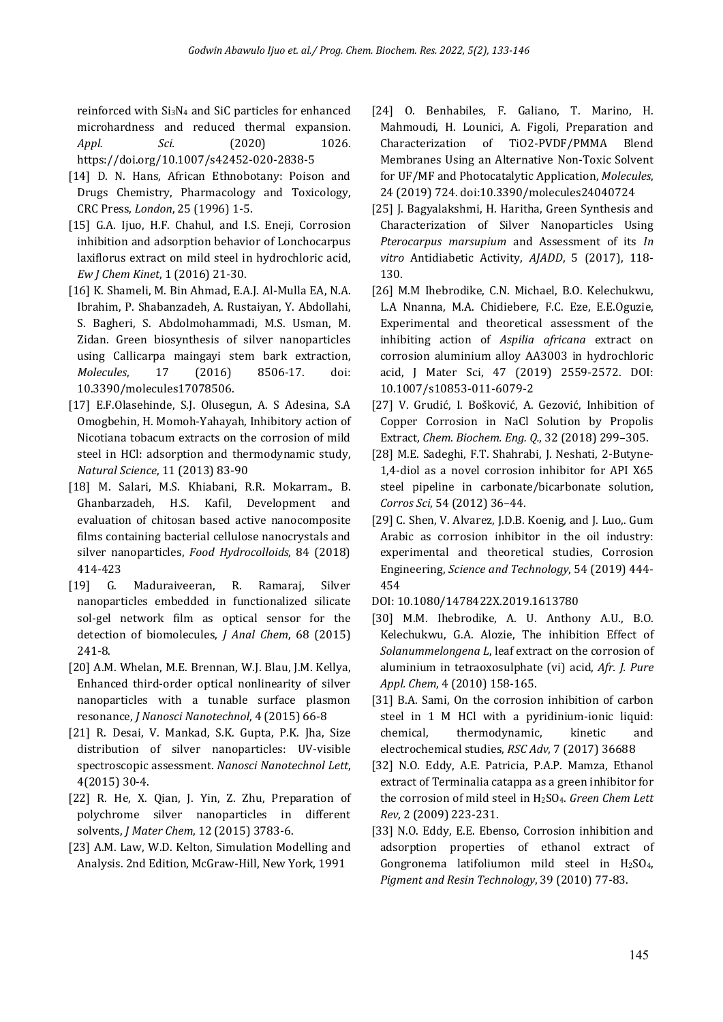reinforced with Si3N4 and SiC particles for enhanced microhardness and reduced thermal expansion. *Appl. Sci.* (2020) 1026. https://doi.org/10.1007/s42452-020-2838-5

- [14] D. N. Hans, African Ethnobotany: Poison and Drugs Chemistry, Pharmacology and Toxicology, CRC Press, *London*, 25 (1996) 1-5.
- [15] G.A. Ijuo, H.F. Chahul, and I.S. Eneji, Corrosion inhibition and adsorption behavior of Lonchocarpus laxiflorus extract on mild steel in hydrochloric acid, *Ew J Chem Kinet*, 1 (2016) 21-30.
- [16] K. Shameli, M. Bin Ahmad, E.A.J. Al-Mulla EA, N.A. Ibrahim, P. Shabanzadeh, A. Rustaiyan, Y. Abdollahi, S. Bagheri, S. Abdolmohammadi, M.S. Usman, M. Zidan. Green biosynthesis of silver nanoparticles using Callicarpa maingayi stem bark extraction, *Molecules*, 17 (2016) 8506-17. doi: 10.3390/molecules17078506.
- [17] E.F.Olasehinde, S.J. Olusegun, A. S Adesina, S.A Omogbehin, H. Momoh-Yahayah, Inhibitory action of Nicotiana tobacum extracts on the corrosion of mild steel in HCl: adsorption and thermodynamic study, *Natural Science*, 11 (2013) 83-90
- [18] M. Salari, M.S. Khiabani, R.R. Mokarram., B. Ghanbarzadeh, H.S. Kafil, Development and evaluation of chitosan based active nanocomposite films containing bacterial cellulose nanocrystals and silver nanoparticles, *Food Hydrocolloids*, 84 (2018) 414-423
- [19] G. Maduraiveeran, R. Ramaraj, Silver nanoparticles embedded in functionalized silicate sol-gel network film as optical sensor for the detection of biomolecules, *J Anal Chem*, 68 (2015) 241-8.
- [20] A.M. Whelan, M.E. Brennan, W.J. Blau, J.M. Kellya, Enhanced third-order optical nonlinearity of silver nanoparticles with a tunable surface plasmon resonance, *J Nanosci Nanotechnol*, 4 (2015) 66-8
- [21] R. Desai, V. Mankad, S.K. Gupta, P.K. Jha, Size distribution of silver nanoparticles: UV-visible spectroscopic assessment. *Nanosci Nanotechnol Lett*, 4(2015) 30-4.
- [22] R. He, X. Qian, J. Yin, Z. Zhu, Preparation of polychrome silver nanoparticles in different solvents, *J Mater Chem*, 12 (2015) 3783-6.
- [23] A.M. Law, W.D. Kelton, Simulation Modelling and Analysis. 2nd Edition, McGraw-Hill, New York, 1991
- [24] O. Benhabiles, F. Galiano, T. Marino, H. Mahmoudi, H. Lounici, A. Figoli, Preparation and Characterization of TiO2-PVDF/PMMA Blend Membranes Using an Alternative Non-Toxic Solvent for UF/MF and Photocatalytic Application, *Molecules*, 24 (2019) 724. doi:10.3390/molecules24040724
- [25] J. Bagyalakshmi, H. Haritha, Green Synthesis and Characterization of Silver Nanoparticles Using *Pterocarpus marsupium* and Assessment of its *In vitro* Antidiabetic Activity, *AJADD*, 5 (2017), 118- 130.
- [26] M.M Ihebrodike, C.N. Michael, B.O. Kelechukwu, L.A Nnanna, M.A. Chidiebere, F.C. Eze, E.E.Oguzie, Experimental and theoretical assessment of the inhibiting action of *Aspilia africana* extract on corrosion aluminium alloy AA3003 in hydrochloric acid, J Mater Sci, 47 (2019) 2559-2572. DOI: 10.1007/s10853-011-6079-2
- [27] V. Grudić, I. Bošković, A. Gezović, Inhibition of Copper Corrosion in NaCl Solution by Propolis Extract, *Chem. Biochem. Eng. Q.*, 32 (2018) 299–305.
- [28] M.E. Sadeghi, F.T. Shahrabi, J. Neshati, 2-Butyne-1,4-diol as a novel corrosion inhibitor for API X65 steel pipeline in carbonate/bicarbonate solution, *Corros Sci*, 54 (2012) 36–44.
- [29] C. Shen, V. Alvarez, J.D.B. Koenig, and J. Luo,. Gum Arabic as corrosion inhibitor in the oil industry: experimental and theoretical studies, Corrosion Engineering, *Science and Technology*, 54 (2019) 444- 454
- DOI: 10.1080/1478422X.2019.1613780
- [30] M.M. Ihebrodike, A. U. Anthony A.U., B.O. Kelechukwu, G.A. Alozie, The inhibition Effect of *Solanummelongena L*, leaf extract on the corrosion of aluminium in tetraoxosulphate (vi) acid, *Afr. J. Pure Appl. Chem*, 4 (2010) 158-165.
- [31] B.A. Sami, On the corrosion inhibition of carbon steel in 1 M HCl with a pyridinium-ionic liquid: chemical, thermodynamic, kinetic and electrochemical studies, *RSC Adv*, 7 (2017) 36688
- [32] N.O. Eddy, A.E. Patricia, P.A.P. Mamza, Ethanol extract of Terminalia catappa as a green inhibitor for the corrosion of mild steel in H2SO4. *Green Chem Lett Rev*, 2 (2009) 223-231.
- [33] N.O. Eddy, E.E. Ebenso, Corrosion inhibition and adsorption properties of ethanol extract of Gongronema latifoliumon mild steel in H2SO4, *Pigment and Resin Technology*, 39 (2010) 77-83.